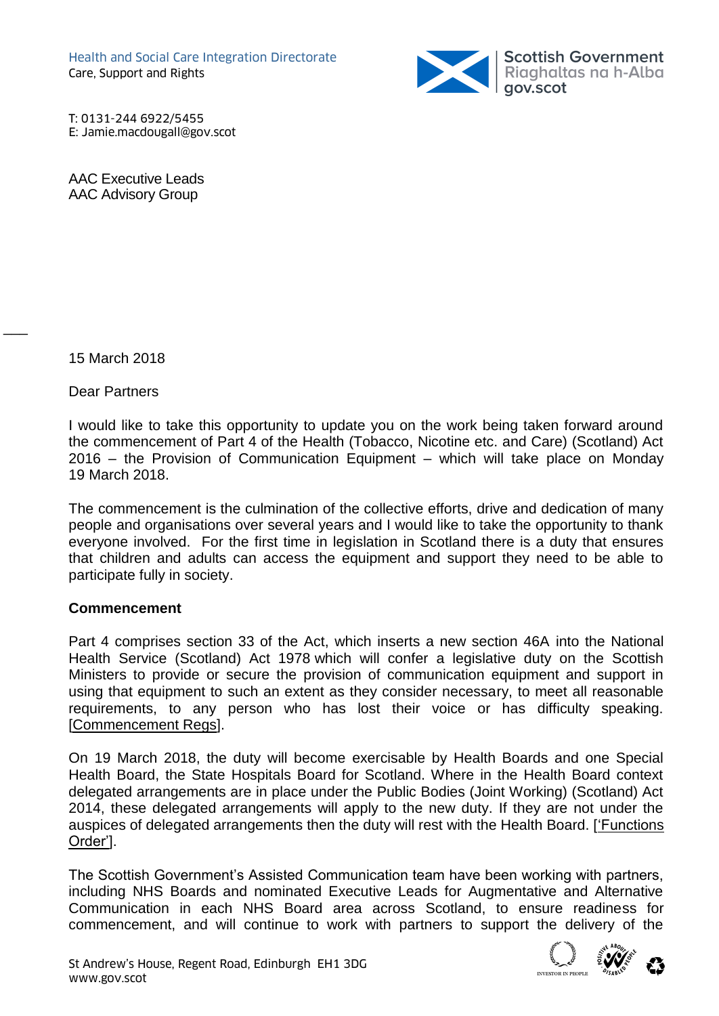

T: 0131-244 6922/5455 E: Jamie.macdougall@gov.scot

AAC Executive Leads AAC Advisory Group

15 March 2018

 $\overline{\phantom{a}}$ 

Dear Partners

I would like to take this opportunity to update you on the work being taken forward around the commencement of Part 4 of the Health (Tobacco, Nicotine etc. and Care) (Scotland) Act 2016 – the Provision of Communication Equipment – which will take place on Monday 19 March 2018.

The commencement is the culmination of the collective efforts, drive and dedication of many people and organisations over several years and I would like to take the opportunity to thank everyone involved. For the first time in legislation in Scotland there is a duty that ensures that children and adults can access the equipment and support they need to be able to participate fully in society.

## **Commencement**

Part 4 comprises section 33 of the Act, which inserts a new section 46A into the National Health Service (Scotland) Act 1978 which will confer a legislative duty on the Scottish Ministers to provide or secure the provision of communication equipment and support in using that equipment to such an extent as they consider necessary, to meet all reasonable requirements, to any person who has lost their voice or has difficulty speaking. [\[Commencement Regs\]](http://www.legislation.gov.uk/ssi/2018/26/pdfs/ssi_20180026_en.pdf#_blank).

On 19 March 2018, the duty will become exercisable by Health Boards and one Special Health Board, the State Hospitals Board for Scotland. Where in the Health Board context delegated arrangements are in place under the Public Bodies (Joint Working) (Scotland) Act 2014, these delegated arrangements will apply to the new duty. If they are not under the auspices of delegated arrangements then the duty will rest with the Health Board. [\['Functions](http://www.legislation.gov.uk/ssi/2018/27/pdfs/ssi_20180027_en.pdf#_blank)  [Order'\]](http://www.legislation.gov.uk/ssi/2018/27/pdfs/ssi_20180027_en.pdf#_blank).

The Scottish Government's Assisted Communication team have been working with partners, including NHS Boards and nominated Executive Leads for Augmentative and Alternative Communication in each NHS Board area across Scotland, to ensure readiness for commencement, and will continue to work with partners to support the delivery of the

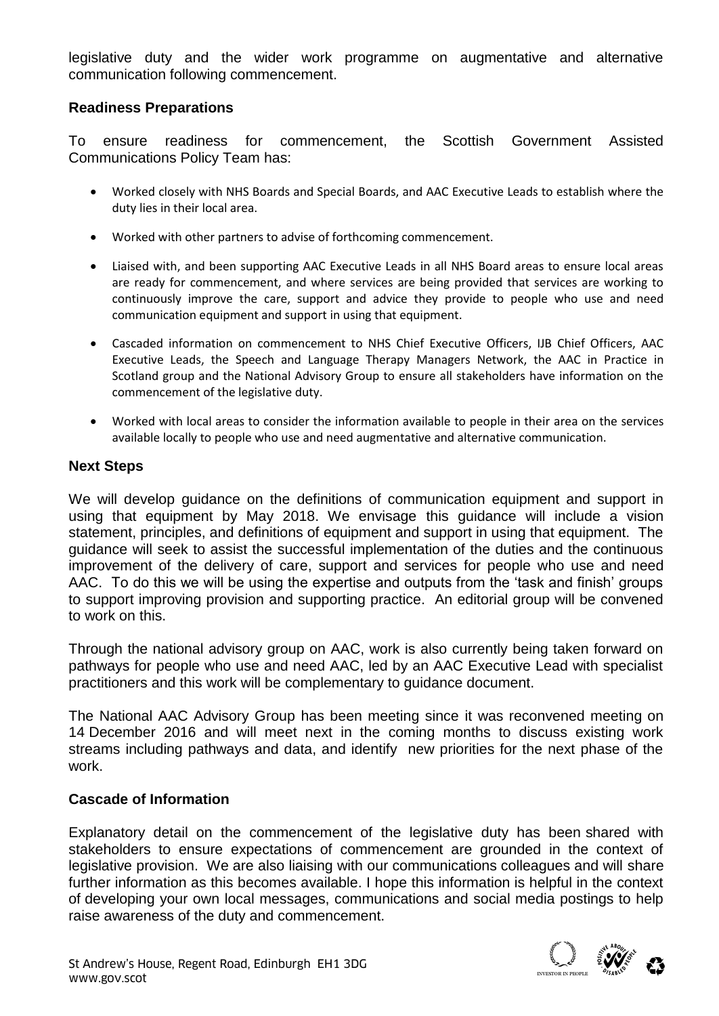legislative duty and the wider work programme on augmentative and alternative communication following commencement.

## **Readiness Preparations**

To ensure readiness for commencement, the Scottish Government Assisted Communications Policy Team has:

- Worked closely with NHS Boards and Special Boards, and AAC Executive Leads to establish where the duty lies in their local area.
- Worked with other partners to advise of forthcoming commencement.
- Liaised with, and been supporting AAC Executive Leads in all NHS Board areas to ensure local areas are ready for commencement, and where services are being provided that services are working to continuously improve the care, support and advice they provide to people who use and need communication equipment and support in using that equipment.
- Cascaded information on commencement to NHS Chief Executive Officers, IJB Chief Officers, AAC Executive Leads, the Speech and Language Therapy Managers Network, the AAC in Practice in Scotland group and the National Advisory Group to ensure all stakeholders have information on the commencement of the legislative duty.
- Worked with local areas to consider the information available to people in their area on the services available locally to people who use and need augmentative and alternative communication.

## **Next Steps**

We will develop guidance on the definitions of communication equipment and support in using that equipment by May 2018. We envisage this guidance will include a vision statement, principles, and definitions of equipment and support in using that equipment. The guidance will seek to assist the successful implementation of the duties and the continuous improvement of the delivery of care, support and services for people who use and need AAC. To do this we will be using the expertise and outputs from the 'task and finish' groups to support improving provision and supporting practice. An editorial group will be convened to work on this.

Through the national advisory group on AAC, work is also currently being taken forward on pathways for people who use and need AAC, led by an AAC Executive Lead with specialist practitioners and this work will be complementary to guidance document.

The National AAC Advisory Group has been meeting since it was reconvened meeting on 14 December 2016 and will meet next in the coming months to discuss existing work streams including pathways and data, and identify new priorities for the next phase of the work.

## **Cascade of Information**

Explanatory detail on the commencement of the legislative duty has been shared with stakeholders to ensure expectations of commencement are grounded in the context of legislative provision. We are also liaising with our communications colleagues and will share further information as this becomes available. I hope this information is helpful in the context of developing your own local messages, communications and social media postings to help raise awareness of the duty and commencement.